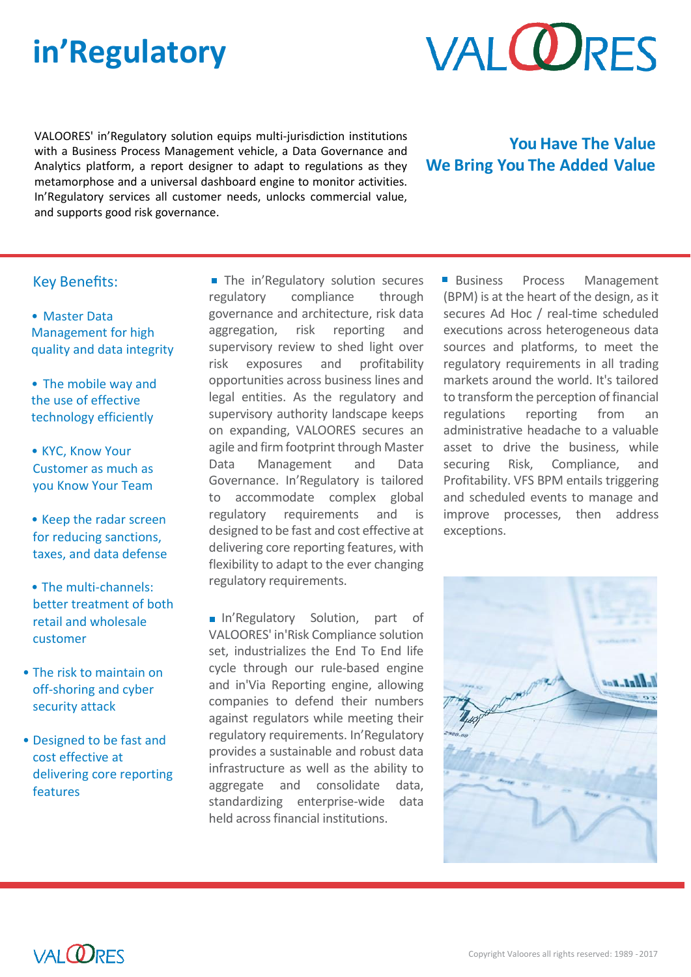# **in'Regulatory**



VALOORES' in'Regulatory solution equips multi-jurisdiction institutions with a Business Process Management vehicle, a Data Governance and Analytics platform, a report designer to adapt to regulations as they metamorphose and a universal dashboard engine to monitor activities. In'Regulatory services all customer needs, unlocks commercial value, and supports good risk governance.

## **You Have The Value We Bring You The Added Value**

### Key Benefits:

- Master Data Management for high quality and data integrity
- The mobile way and the use of effective technology efficiently
- KYC, Know Your Customer as much as you Know Your Team
- Keep the radar screen for reducing sanctions, taxes, and data defense
- The multi-channels: better treatment of both retail and wholesale customer
- The risk to maintain on off-shoring and cyber security attack
- Designed to be fast and cost effective at delivering core reporting features

The in'Regulatory solution secures regulatory compliance through governance and architecture, risk data aggregation, risk reporting and supervisory review to shed light over risk exposures and profitability opportunities across business lines and legal entities. As the regulatory and supervisory authority landscape keeps on expanding, VALOORES secures an agile and firm footprint through Master Data Management and Data Governance. In'Regulatory is tailored to accommodate complex global regulatory requirements and is designed to be fast and cost effective at delivering core reporting features, with flexibility to adapt to the ever changing regulatory requirements.

In'Regulatory Solution, part of VALOORES' in'Risk Compliance solution set, industrializes the End To End life cycle through our rule-based engine and in'Via Reporting engine, allowing companies to defend their numbers against regulators while meeting their regulatory requirements. In'Regulatory provides a sustainable and robust data infrastructure as well as the ability to aggregate and consolidate data, standardizing enterprise-wide data held across financial institutions.

Business Process Management (BPM) is at the heart of the design, as it secures Ad Hoc / real-time scheduled executions across heterogeneous data sources and platforms, to meet the regulatory requirements in all trading markets around the world. It's tailored to transform the perception of financial regulations reporting from an administrative headache to a valuable asset to drive the business, while securing Risk, Compliance, and Profitability. VFS BPM entails triggering and scheduled events to manage and improve processes, then address exceptions.